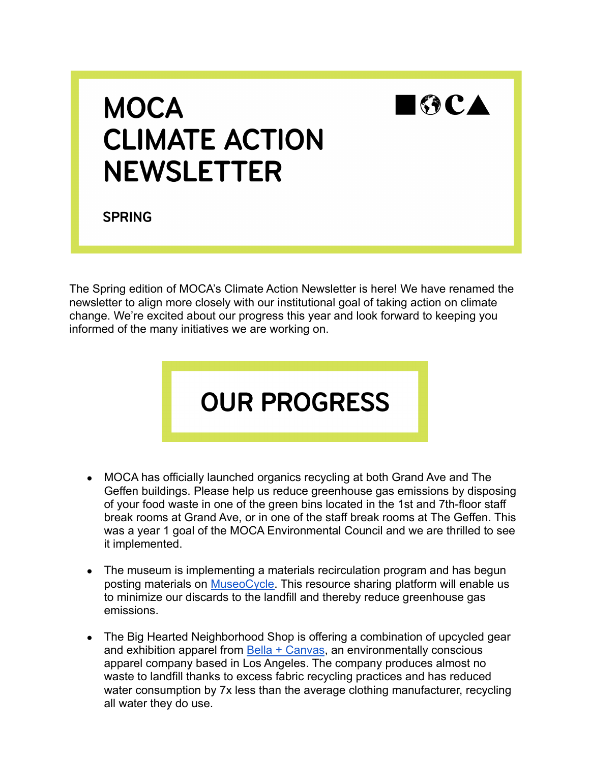

## **MOCA CLIMATE ACTION NEWSLETTER**

**SPRING** 

The Spring edition of MOCA's Climate Action Newsletter is here! We have renamed the newsletter to align more closely with our institutional goal of taking action on climate change. We're excited about our progress this year and look forward to keeping you informed of the many initiatives we are working on.

## **OUR PROGRESS**

- MOCA has officially launched organics recycling at both Grand Ave and The Geffen buildings. Please help us reduce greenhouse gas emissions by disposing of your food waste in one of the green bins located in the 1st and 7th-floor staff break rooms at Grand Ave, or in one of the staff break rooms at The Geffen. This was a year 1 goal of the MOCA Environmental Council and we are thrilled to see it implemented.
- The museum is implementing a materials recirculation program and has begun posting materials on [MuseoCycle.](https://www.museocycle.org) This resource sharing platform will enable us to minimize our discards to the landfill and thereby reduce greenhouse gas emissions.
- The Big Hearted Neighborhood Shop is offering a combination of upcycled gear and exhibition apparel from **[Bella + Canvas](https://www.bellacanvas.com/eco_friendly)**, an environmentally conscious apparel company based in Los Angeles. The company produces almost no waste to landfill thanks to excess fabric recycling practices and has reduced water consumption by 7x less than the average clothing manufacturer, recycling all water they do use.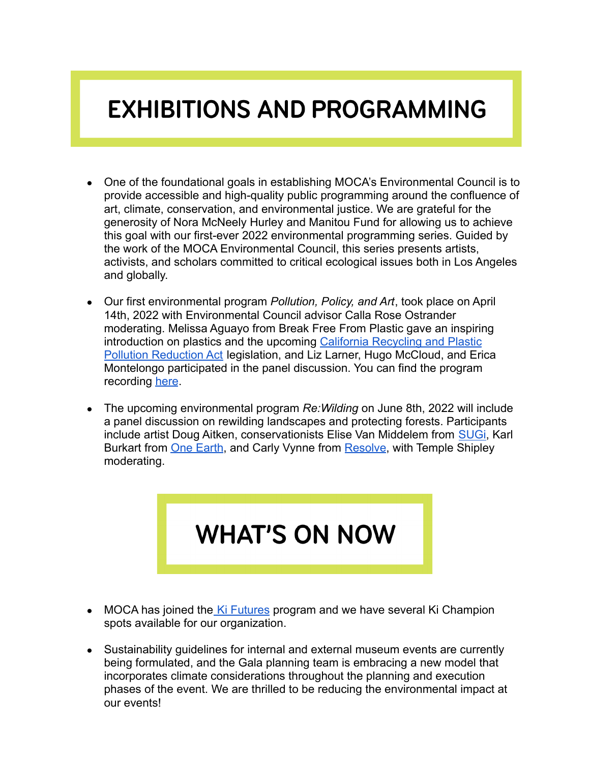## **EXHIBITIONS AND PROGRAMMING**

- One of the foundational goals in establishing MOCA's Environmental Council is to provide accessible and high-quality public programming around the confluence of art, climate, conservation, and environmental justice. We are grateful for the generosity of Nora McNeely Hurley and Manitou Fund for allowing us to achieve this goal with our first-ever 2022 environmental programming series. Guided by the work of the MOCA Environmental Council, this series presents artists, activists, and scholars committed to critical ecological issues both in Los Angeles and globally.
- Our first environmental program *Pollution, Policy, and Art*, took place on April 14th, 2022 with Environmental Council advisor Calla Rose Ostrander moderating. Melissa Aguayo from Break Free From Plastic gave an inspiring introduction on plastics and the upcoming California [Recycling and Plastic](https://www.nrdc.org/media/2021/210721) [Pollution Reduction Act](https://www.nrdc.org/media/2021/210721) legislation, and Liz Larner, Hugo McCloud, and Erica Montelongo participated in the panel discussion. You can find the program recording [here](https://www.moca.org/about/environmental-council#related-videos).
- The upcoming environmental program *Re:Wilding* on June 8th, 2022 will include a panel discussion on rewilding landscapes and protecting forests. Participants include artist Doug Aitken, conservationists Elise Van Middelem from [SUGi,](https://www.sugiproject.com) Karl Burkart from **[One Earth](https://www.oneearth.org)**, and Carly Vynne from [Resolve](https://www.resolve.ngo), with Temple Shipley moderating.



- MOCA has joined the [Ki Futures](https://www.kiculture.org/ki-futures/) program and we have several Ki Champion spots available for our organization.
- Sustainability guidelines for internal and external museum events are currently being formulated, and the Gala planning team is embracing a new model that incorporates climate considerations throughout the planning and execution phases of the event. We are thrilled to be reducing the environmental impact at our events!